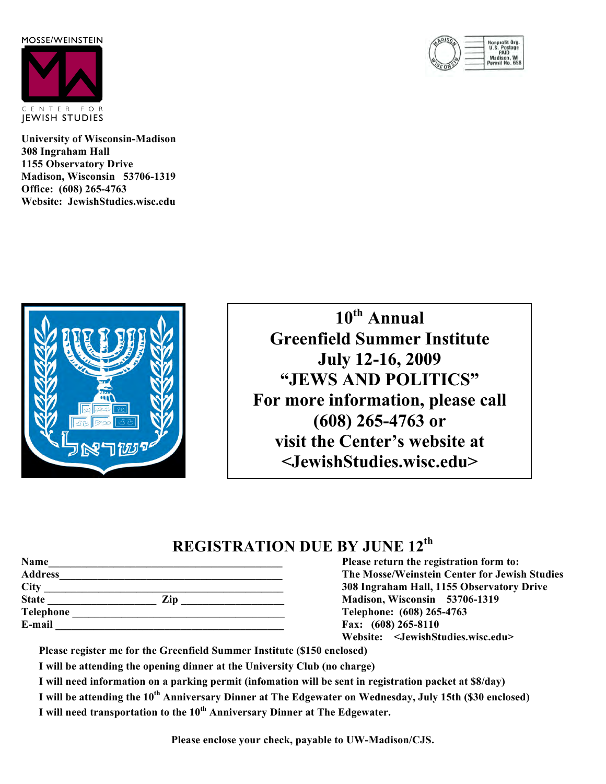MOSSE/WEINSTEIN



**University of Wisconsin-Madison 308 Ingraham Hall 1155 Observatory Drive Madison, Wisconsin 53706-1319 Office: (608) 265-4763 Website: JewishStudies.wisc.edu**



**10th Annual Greenfield Summer Institute July 12-16, 2009 "JEWS AND POLITICS" For more information, please call (608) 265-4763 or visit the Center's website at <JewishStudies.wisc.edu>**

## **REGISTRATION DUE BY JUNE 12th**

| Name           |     |  |
|----------------|-----|--|
| <b>Address</b> |     |  |
|                |     |  |
| <b>State</b>   | Zip |  |
| Telephone      |     |  |
| E-mail         |     |  |

**Name\_\_\_\_\_\_\_\_\_\_\_\_\_\_\_\_\_\_\_\_\_\_\_\_\_\_\_\_\_\_\_\_\_\_\_\_\_\_\_\_\_\_\_ Please return the registration form to: The Mosse/Weinstein Center for Jewish Studies City \_\_\_\_\_\_\_\_\_\_\_\_\_\_\_\_\_\_\_\_\_\_\_\_\_\_\_\_\_\_\_\_\_\_\_\_\_\_\_\_\_\_\_\_ 308 Ingraham Hall, 1155 Observatory Drive State \_\_\_\_\_\_\_\_\_\_\_\_\_\_\_\_\_\_\_\_ Zip \_\_\_\_\_\_\_\_\_\_\_\_\_\_\_\_\_\_\_ Madison, Wisconsin 53706-1319** Telephone: (608) 265-4763 **Fax:** (608) 265-8110 **Website: <JewishStudies.wisc.edu>**

**Please register me for the Greenfield Summer Institute (\$150 enclosed)**

**I will be attending the opening dinner at the University Club (no charge)**

**I will need information on a parking permit (infomation will be sent in registration packet at \$8/day)**

**I will be attending the 10th Anniversary Dinner at The Edgewater on Wednesday, July 15th (\$30 enclosed)**

**I will need transportation to the 10th Anniversary Dinner at The Edgewater.**

**Please enclose your check, payable to UW-Madison/CJS.**